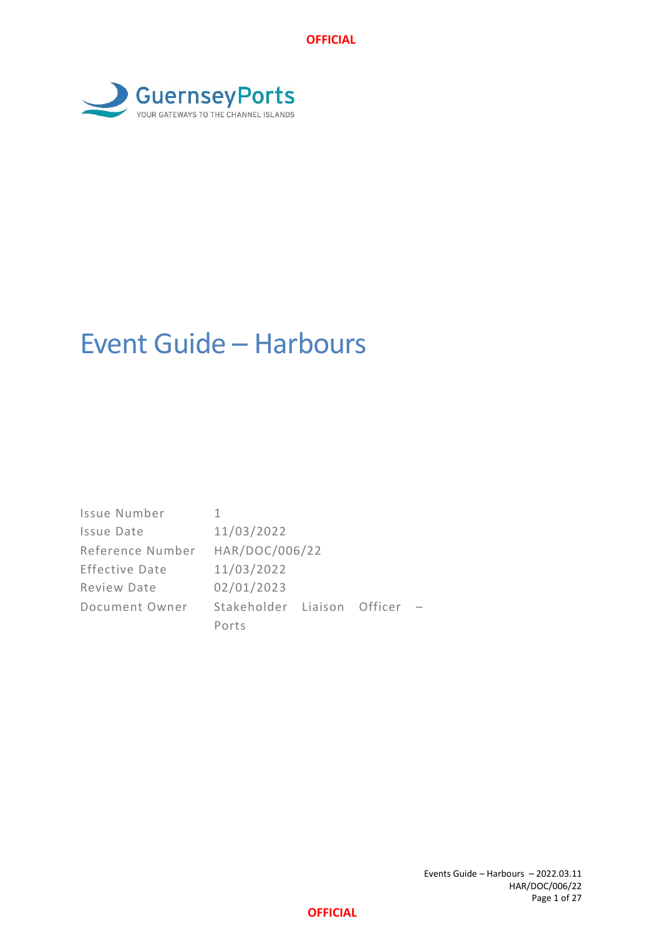

# Event Guide – Harbours

Issue Number 1 Issue Date 11/03/2022 Reference Number HAR/DOC/006/22 Effective Date 11/03/2022 Review Date 02/01/2023 Document Owner Stakeholder Liaison Officer – Ports

> Events Guide – Harbours – 2022.03.11 HAR/DOC/006/22 Page 1 of 27

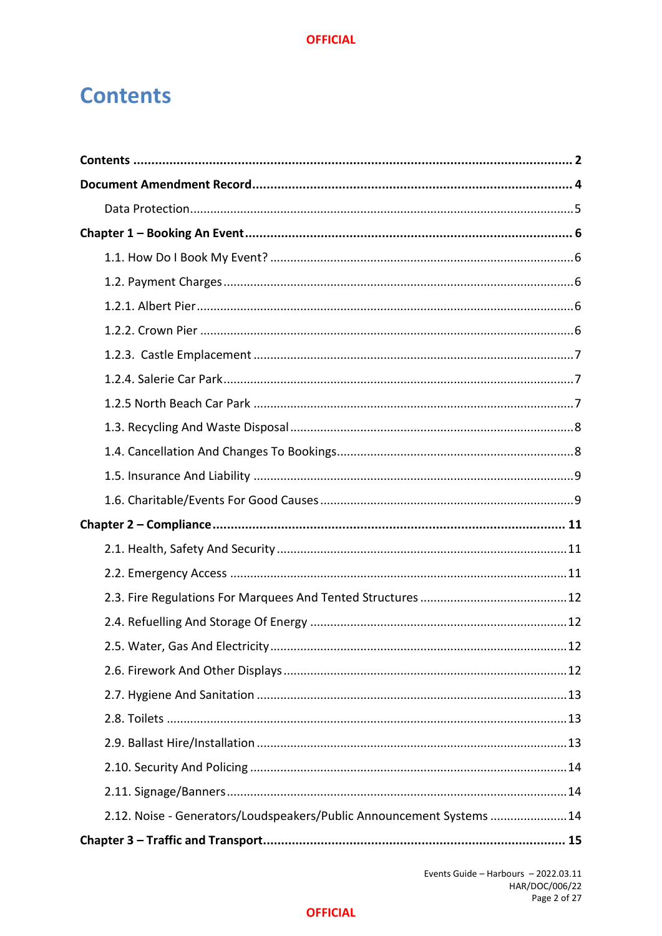## <span id="page-1-0"></span>**Contents**

| 2.12. Noise - Generators/Loudspeakers/Public Announcement Systems 14 |  |
|----------------------------------------------------------------------|--|
|                                                                      |  |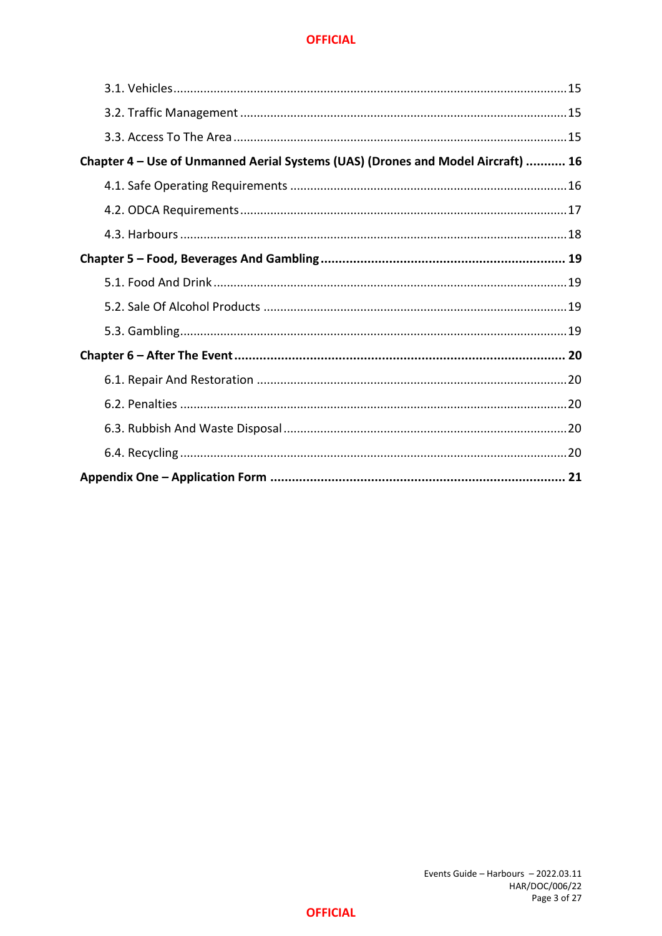| Chapter 4 – Use of Unmanned Aerial Systems (UAS) (Drones and Model Aircraft)  16 |  |
|----------------------------------------------------------------------------------|--|
|                                                                                  |  |
|                                                                                  |  |
|                                                                                  |  |
|                                                                                  |  |
|                                                                                  |  |
|                                                                                  |  |
|                                                                                  |  |
|                                                                                  |  |
|                                                                                  |  |
|                                                                                  |  |
|                                                                                  |  |
|                                                                                  |  |
|                                                                                  |  |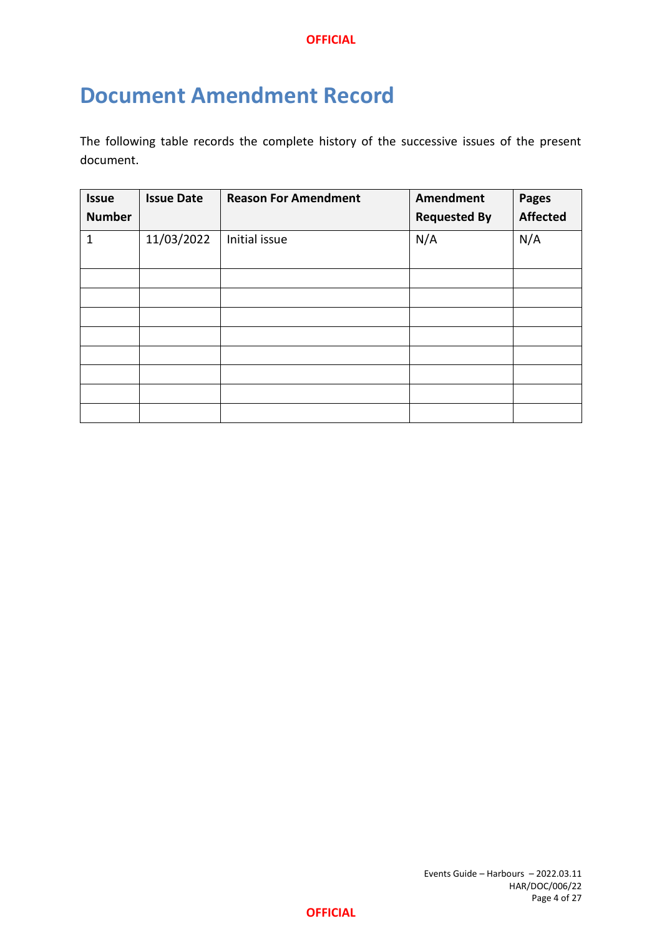## <span id="page-3-0"></span>**Document Amendment Record**

The following table records the complete history of the successive issues of the present document.

| <b>Issue</b><br><b>Number</b> | <b>Issue Date</b> | <b>Reason For Amendment</b> | Amendment<br><b>Requested By</b> | <b>Pages</b><br><b>Affected</b> |
|-------------------------------|-------------------|-----------------------------|----------------------------------|---------------------------------|
| $\mathbf 1$                   | 11/03/2022        | Initial issue               | N/A                              | N/A                             |
|                               |                   |                             |                                  |                                 |
|                               |                   |                             |                                  |                                 |
|                               |                   |                             |                                  |                                 |
|                               |                   |                             |                                  |                                 |
|                               |                   |                             |                                  |                                 |
|                               |                   |                             |                                  |                                 |
|                               |                   |                             |                                  |                                 |
|                               |                   |                             |                                  |                                 |

Events Guide – Harbours – 2022.03.11 HAR/DOC/006/22 Page 4 of 27

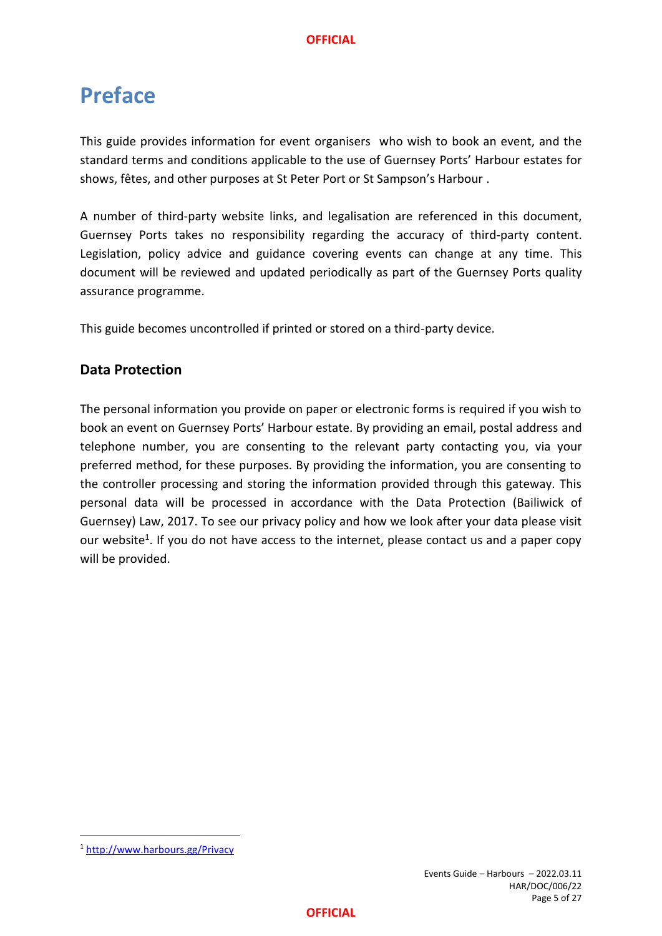## **Preface**

This guide provides information for event organisers who wish to book an event, and the standard terms and conditions applicable to the use of Guernsey Ports' Harbour estates for shows, fêtes, and other purposes at St Peter Port or St Sampson's Harbour .

A number of third-party website links, and legalisation are referenced in this document, Guernsey Ports takes no responsibility regarding the accuracy of third-party content. Legislation, policy advice and guidance covering events can change at any time. This document will be reviewed and updated periodically as part of the Guernsey Ports quality assurance programme.

This guide becomes uncontrolled if printed or stored on a third-party device.

## <span id="page-4-0"></span>**Data Protection**

The personal information you provide on paper or electronic forms is required if you wish to book an event on Guernsey Ports' Harbour estate. By providing an email, postal address and telephone number, you are consenting to the relevant party contacting you, via your preferred method, for these purposes. By providing the information, you are consenting to the controller processing and storing the information provided through this gateway. This personal data will be processed in accordance with the Data Protection (Bailiwick of Guernsey) Law, 2017. To see our privacy policy and how we look after your data please visit our website<sup>1</sup>. If you do not have access to the internet, please contact us and a paper copy will be provided.

<sup>1</sup> <http://www.harbours.gg/Privacy>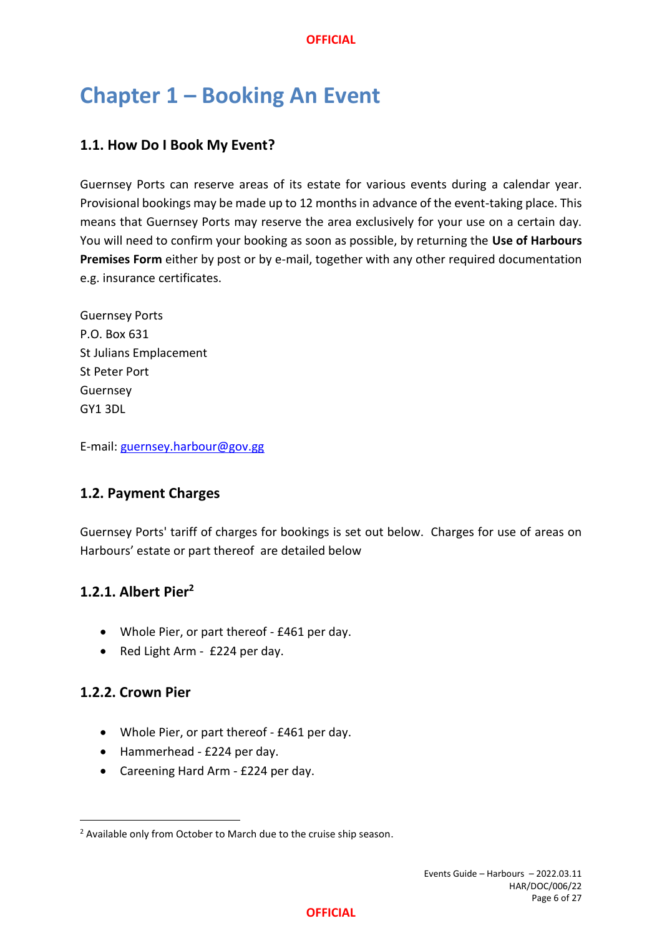## <span id="page-5-0"></span>**Chapter 1 – Booking An Event**

## <span id="page-5-1"></span>**1.1. How Do I Book My Event?**

Guernsey Ports can reserve areas of its estate for various events during a calendar year. Provisional bookings may be made up to 12 months in advance of the event-taking place. This means that Guernsey Ports may reserve the area exclusively for your use on a certain day. You will need to confirm your booking as soon as possible, by returning the **Use of Harbours Premises Form** either by post or by e-mail, together with any other required documentation e.g. insurance certificates.

Guernsey Ports P.O. Box 631 St Julians Emplacement St Peter Port Guernsey GY1 3DL

E-mail: [guernsey.harbour@gov.gg](mailto:guernsey.harbour@gov.gg)

## <span id="page-5-2"></span>**1.2. Payment Charges**

Guernsey Ports' tariff of charges for bookings is set out below. Charges for use of areas on Harbours' estate or part thereof are detailed below

## <span id="page-5-3"></span>**1.2.1. Albert Pier<sup>2</sup>**

- Whole Pier, or part thereof £461 per day.
- Red Light Arm £224 per day.

### <span id="page-5-4"></span>**1.2.2. Crown Pier**

- Whole Pier, or part thereof £461 per day.
- Hammerhead £224 per day.
- Careening Hard Arm £224 per day.

<sup>&</sup>lt;sup>2</sup> Available only from October to March due to the cruise ship season.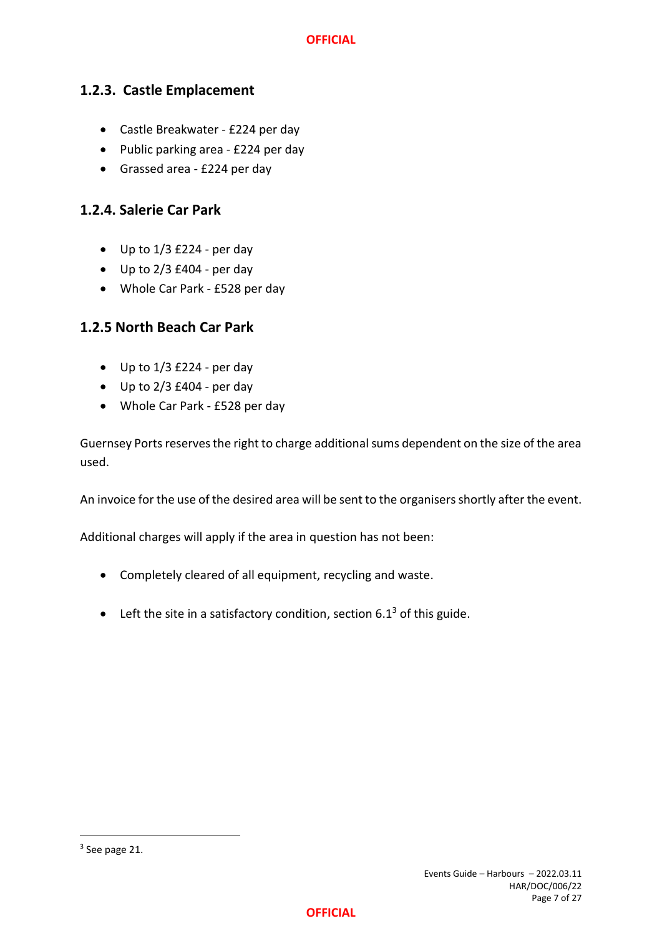## <span id="page-6-0"></span>**1.2.3. Castle Emplacement**

- Castle Breakwater £224 per day
- Public parking area £224 per day
- Grassed area £224 per day

### <span id="page-6-1"></span>**1.2.4. Salerie Car Park**

- Up to 1/3 £224 per day
- Up to 2/3 £404 per day
- Whole Car Park £528 per day

## <span id="page-6-2"></span>**1.2.5 North Beach Car Park**

- Up to 1/3 £224 per day
- Up to 2/3 £404 per day
- Whole Car Park £528 per day

Guernsey Ports reserves the right to charge additional sums dependent on the size of the area used.

An invoice for the use of the desired area will be sent to the organisers shortly after the event.

Additional charges will apply if the area in question has not been:

- Completely cleared of all equipment, recycling and waste.
- Left the site in a satisfactory condition, section  $6.1<sup>3</sup>$  of this guide.

<sup>&</sup>lt;sup>3</sup> See page 21.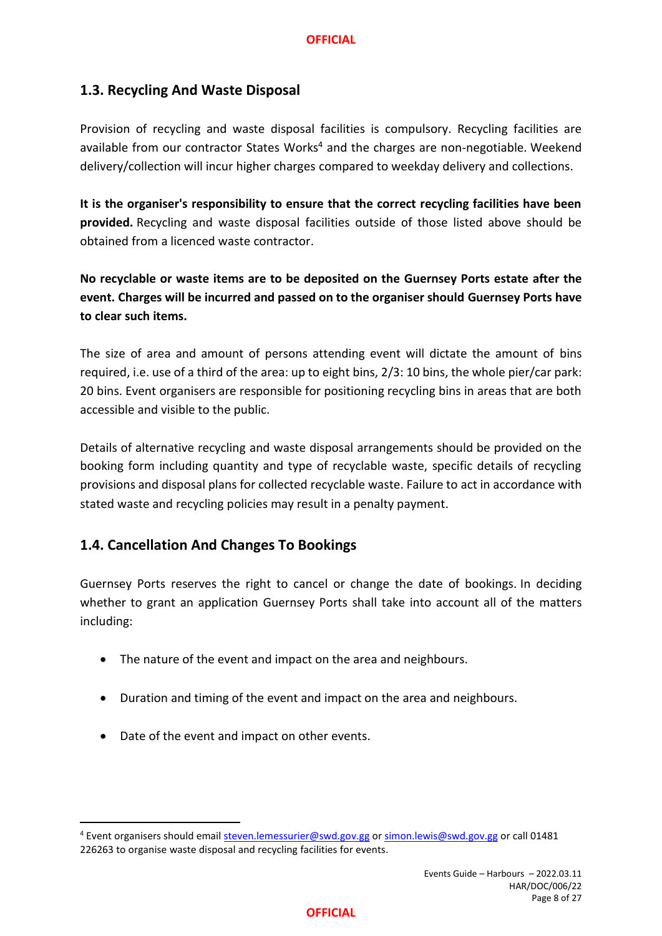### <span id="page-7-0"></span>**1.3. Recycling And Waste Disposal**

Provision of recycling and waste disposal facilities is compulsory. Recycling facilities are available from our contractor States Works<sup>4</sup> and the charges are non-negotiable. Weekend delivery/collection will incur higher charges compared to weekday delivery and collections.

**It is the organiser's responsibility to ensure that the correct recycling facilities have been provided.** Recycling and waste disposal facilities outside of those listed above should be obtained from a licenced waste contractor.

**No recyclable or waste items are to be deposited on the Guernsey Ports estate after the event. Charges will be incurred and passed on to the organiser should Guernsey Ports have to clear such items.**

The size of area and amount of persons attending event will dictate the amount of bins required, i.e. use of a third of the area: up to eight bins, 2/3: 10 bins, the whole pier/car park: 20 bins. Event organisers are responsible for positioning recycling bins in areas that are both accessible and visible to the public.

Details of alternative recycling and waste disposal arrangements should be provided on the booking form including quantity and type of recyclable waste, specific details of recycling provisions and disposal plans for collected recyclable waste. Failure to act in accordance with stated waste and recycling policies may result in a penalty payment.

### <span id="page-7-1"></span>**1.4. Cancellation And Changes To Bookings**

Guernsey Ports reserves the right to cancel or change the date of bookings. In deciding whether to grant an application Guernsey Ports shall take into account all of the matters including:

- The nature of the event and impact on the area and neighbours.
- Duration and timing of the event and impact on the area and neighbours.
- Date of the event and impact on other events.

<sup>4</sup> Event organisers should email [steven.lemessurier@swd.gov.gg](mailto:steven.lemessurier@swd.gov.gg) or [simon.lewis@swd.gov.gg](mailto:simon.lewis@swd.gov.gg) or call 01481 226263 to organise waste disposal and recycling facilities for events.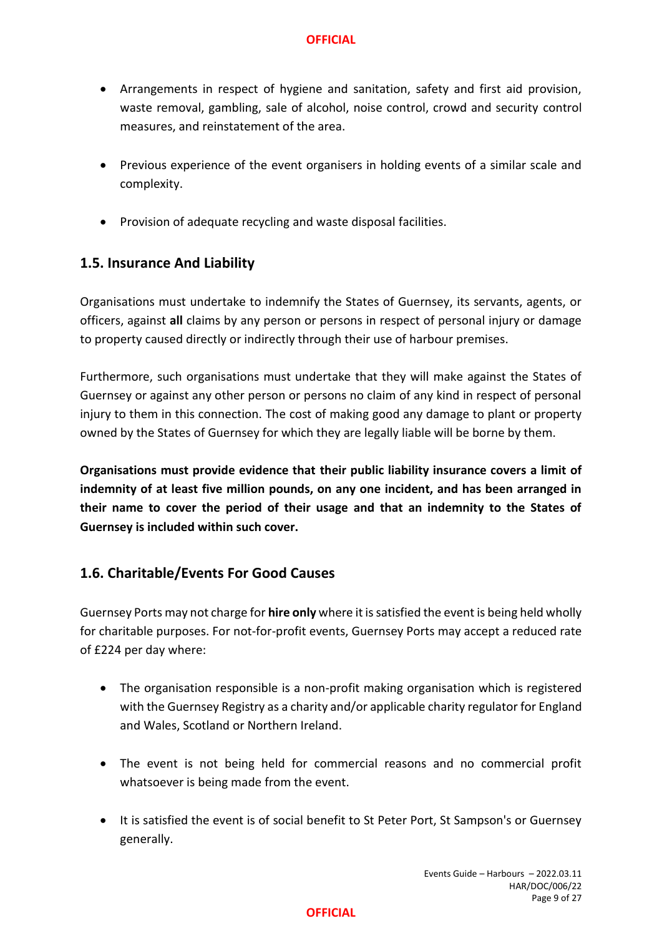- Arrangements in respect of hygiene and sanitation, safety and first aid provision, waste removal, gambling, sale of alcohol, noise control, crowd and security control measures, and reinstatement of the area.
- Previous experience of the event organisers in holding events of a similar scale and complexity.
- Provision of adequate recycling and waste disposal facilities.

## <span id="page-8-0"></span>**1.5. Insurance And Liability**

Organisations must undertake to indemnify the States of Guernsey, its servants, agents, or officers, against **all** claims by any person or persons in respect of personal injury or damage to property caused directly or indirectly through their use of harbour premises.

Furthermore, such organisations must undertake that they will make against the States of Guernsey or against any other person or persons no claim of any kind in respect of personal injury to them in this connection. The cost of making good any damage to plant or property owned by the States of Guernsey for which they are legally liable will be borne by them.

**Organisations must provide evidence that their public liability insurance covers a limit of indemnity of at least five million pounds, on any one incident, and has been arranged in their name to cover the period of their usage and that an indemnity to the States of Guernsey is included within such cover.**

## <span id="page-8-1"></span>**1.6. Charitable/Events For Good Causes**

Guernsey Ports may not charge for **hire only** where it is satisfied the event is being held wholly for charitable purposes. For not-for-profit events, Guernsey Ports may accept a reduced rate of £224 per day where:

- The organisation responsible is a non-profit making organisation which is registered with the Guernsey Registry as a charity and/or applicable charity regulator for England and Wales, Scotland or Northern Ireland.
- The event is not being held for commercial reasons and no commercial profit whatsoever is being made from the event.
- It is satisfied the event is of social benefit to St Peter Port, St Sampson's or Guernsey generally.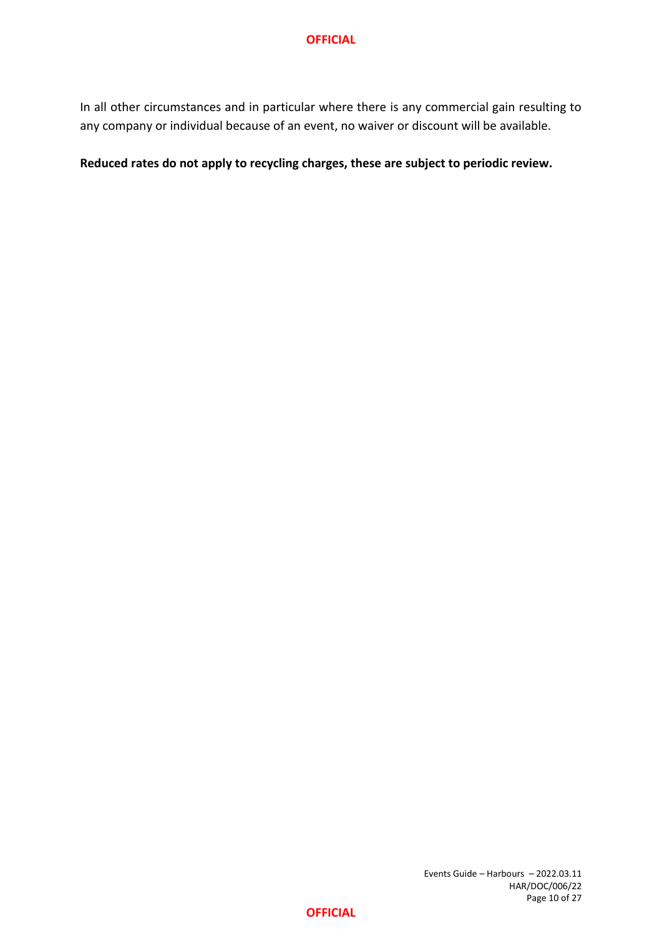In all other circumstances and in particular where there is any commercial gain resulting to any company or individual because of an event, no waiver or discount will be available.

**Reduced rates do not apply to recycling charges, these are subject to periodic review.**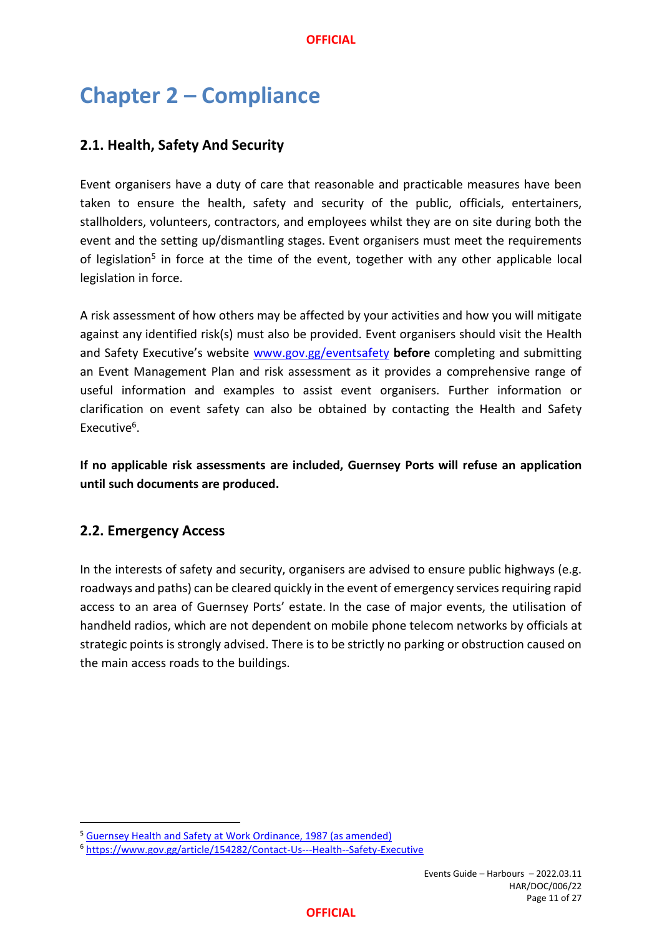## <span id="page-10-0"></span>**Chapter 2 – Compliance**

## <span id="page-10-1"></span>**2.1. Health, Safety And Security**

Event organisers have a duty of care that reasonable and practicable measures have been taken to ensure the health, safety and security of the public, officials, entertainers, stallholders, volunteers, contractors, and employees whilst they are on site during both the event and the setting up/dismantling stages. Event organisers must meet the requirements of legislation<sup>5</sup> in force at the time of the event, together with any other applicable local legislation in force.

A risk assessment of how others may be affected by your activities and how you will mitigate against any identified risk(s) must also be provided. Event organisers should visit the Health and Safety Executive's website [www.gov.gg/eventsafety](http://www.gov.gg/eventsafety) **before** completing and submitting an Event Management Plan and risk assessment as it provides a comprehensive range of useful information and examples to assist event organisers. Further information or clarification on event safety can also be obtained by contacting the Health and Safety Executive<sup>6</sup>.

**If no applicable risk assessments are included, Guernsey Ports will refuse an application until such documents are produced.** 

### <span id="page-10-2"></span>**2.2. Emergency Access**

<span id="page-10-3"></span>In the interests of safety and security, organisers are advised to ensure public highways (e.g. roadways and paths) can be cleared quickly in the event of emergency services requiring rapid access to an area of Guernsey Ports' estate. In the case of major events, the utilisation of handheld radios, which are not dependent on mobile phone telecom networks by officials at strategic points is strongly advised. There is to be strictly no parking or obstruction caused on the main access roads to the buildings.

<sup>&</sup>lt;sup>5</sup> [Guernsey Health and Safety at Work Ordinance, 1987 \(as amended\)](http://www.guernseylegalresources.gg/CHttpHandler.ashx?id=68125&p=0)

<sup>6</sup> <https://www.gov.gg/article/154282/Contact-Us---Health--Safety-Executive>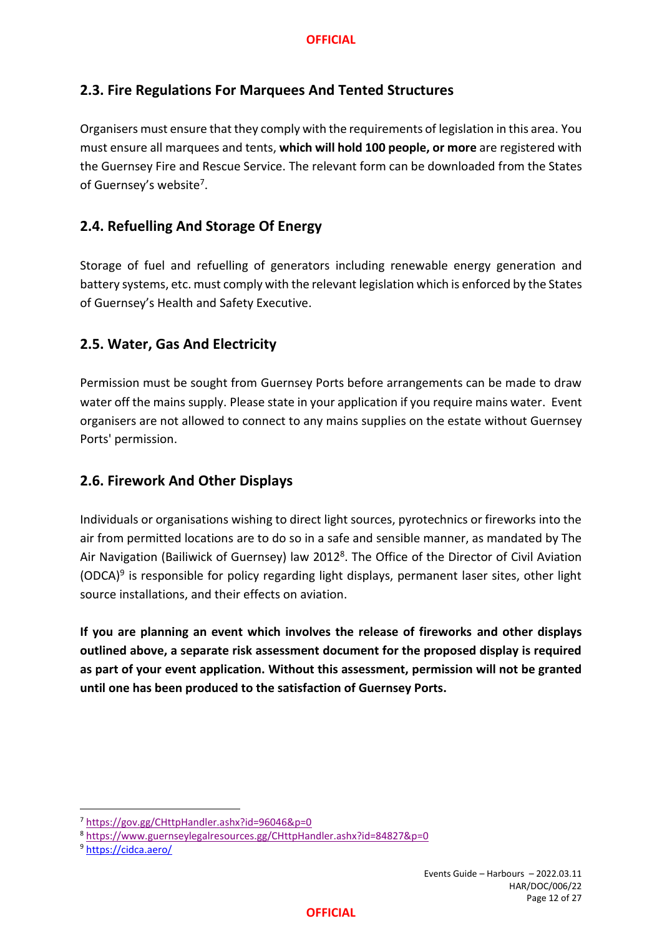## **2.3. Fire Regulations For Marquees And Tented Structures**

Organisers must ensure that they comply with the requirements of legislation in this area. You must ensure all marquees and tents, **which will hold 100 people, or more** are registered with the Guernsey Fire and Rescue Service. The relevant form can be downloaded from the States of Guernsey's website<sup>7</sup>.

## <span id="page-11-0"></span>**2.4. Refuelling And Storage Of Energy**

Storage of fuel and refuelling of generators including renewable energy generation and battery systems, etc. must comply with the relevant legislation which is enforced by the States of Guernsey's Health and Safety Executive.

## <span id="page-11-1"></span>**2.5. Water, Gas And Electricity**

Permission must be sought from Guernsey Ports before arrangements can be made to draw water off the mains supply. Please state in your application if you require mains water. Event organisers are not allowed to connect to any mains supplies on the estate without Guernsey Ports' permission.

### <span id="page-11-2"></span>**2.6. Firework And Other Displays**

Individuals or organisations wishing to direct light sources, pyrotechnics or fireworks into the air from permitted locations are to do so in a safe and sensible manner, as mandated by The Air Navigation (Bailiwick of Guernsey) law 2012<sup>8</sup>. The Office of the Director of Civil Aviation (ODCA) 9 is responsible for policy regarding light displays, permanent laser sites, other light source installations, and their effects on aviation.

**If you are planning an event which involves the release of fireworks and other displays outlined above, a separate risk assessment document for the proposed display is required as part of your event application. Without this assessment, permission will not be granted until one has been produced to the satisfaction of Guernsey Ports.**

<sup>7</sup> <https://gov.gg/CHttpHandler.ashx?id=96046&p=0>

<sup>8</sup> <https://www.guernseylegalresources.gg/CHttpHandler.ashx?id=84827&p=0>

<sup>9</sup> <https://cidca.aero/>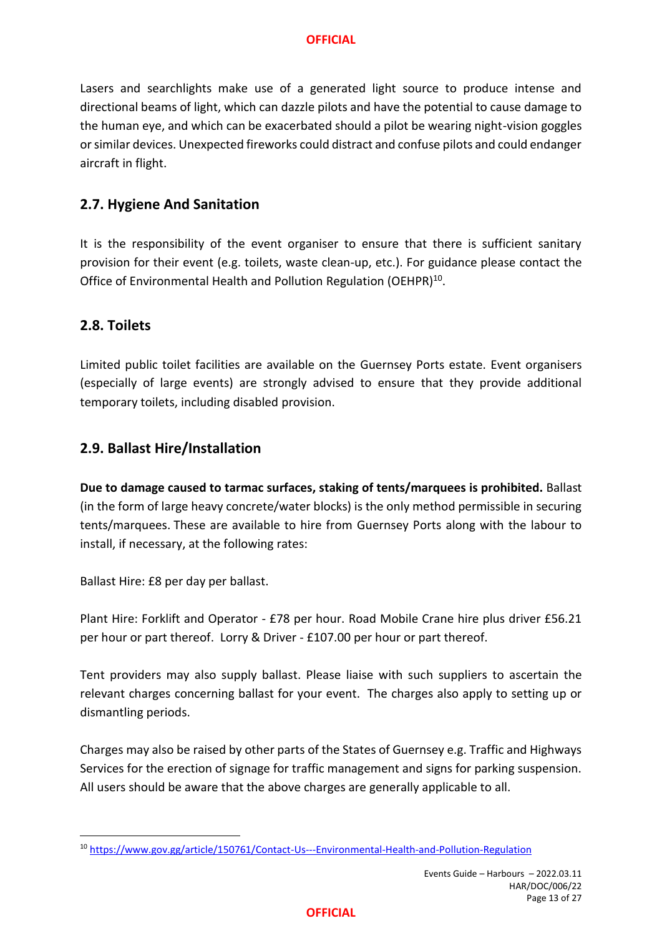Lasers and searchlights make use of a generated light source to produce intense and directional beams of light, which can dazzle pilots and have the potential to cause damage to the human eye, and which can be exacerbated should a pilot be wearing night-vision goggles or similar devices. Unexpected fireworks could distract and confuse pilots and could endanger aircraft in flight.

## <span id="page-12-0"></span>**2.7. Hygiene And Sanitation**

It is the responsibility of the event organiser to ensure that there is sufficient sanitary provision for their event (e.g. toilets, waste clean-up, etc.). For guidance please contact the Office of Environmental Health and Pollution Regulation (OEHPR)<sup>10</sup>.

### <span id="page-12-1"></span>**2.8. Toilets**

Limited public toilet facilities are available on the Guernsey Ports estate. Event organisers (especially of large events) are strongly advised to ensure that they provide additional temporary toilets, including disabled provision.

### <span id="page-12-2"></span>**2.9. Ballast Hire/Installation**

**Due to damage caused to tarmac surfaces, staking of tents/marquees is prohibited.** Ballast (in the form of large heavy concrete/water blocks) is the only method permissible in securing tents/marquees. These are available to hire from Guernsey Ports along with the labour to install, if necessary, at the following rates:

Ballast Hire: £8 per day per ballast.

Plant Hire: Forklift and Operator - £78 per hour. Road Mobile Crane hire plus driver £56.21 per hour or part thereof. Lorry & Driver - £107.00 per hour or part thereof.

Tent providers may also supply ballast. Please liaise with such suppliers to ascertain the relevant charges concerning ballast for your event. The charges also apply to setting up or dismantling periods.

Charges may also be raised by other parts of the States of Guernsey e.g. Traffic and Highways Services for the erection of signage for traffic management and signs for parking suspension. All users should be aware that the above charges are generally applicable to all.

<sup>10</sup> <https://www.gov.gg/article/150761/Contact-Us---Environmental-Health-and-Pollution-Regulation>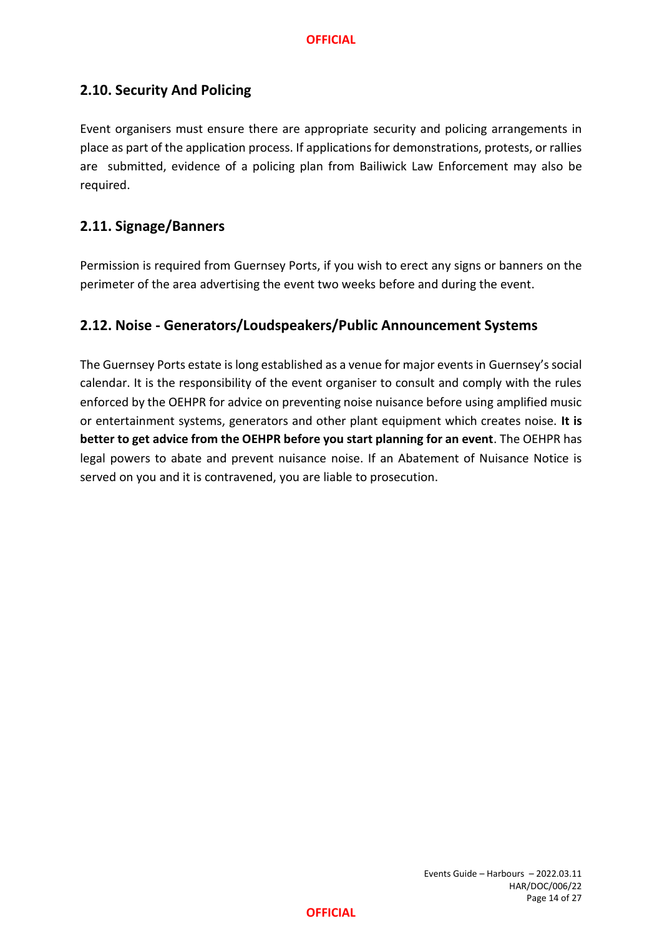## <span id="page-13-0"></span>**2.10. Security And Policing**

Event organisers must ensure there are appropriate security and policing arrangements in place as part of the application process. If applications for demonstrations, protests, or rallies are submitted, evidence of a policing plan from Bailiwick Law Enforcement may also be required.

## <span id="page-13-1"></span>**2.11. Signage/Banners**

Permission is required from Guernsey Ports, if you wish to erect any signs or banners on the perimeter of the area advertising the event two weeks before and during the event.

## <span id="page-13-2"></span>**2.12. Noise - Generators/Loudspeakers/Public Announcement Systems**

The Guernsey Ports estate is long established as a venue for major events in Guernsey's social calendar. It is the responsibility of the event organiser to consult and comply with the rules enforced by the OEHPR for advice on preventing noise nuisance before using amplified music or entertainment systems, generators and other plant equipment which creates noise. **It is better to get advice from the OEHPR before you start planning for an event**. The OEHPR has legal powers to abate and prevent nuisance noise. If an Abatement of Nuisance Notice is served on you and it is contravened, you are liable to prosecution.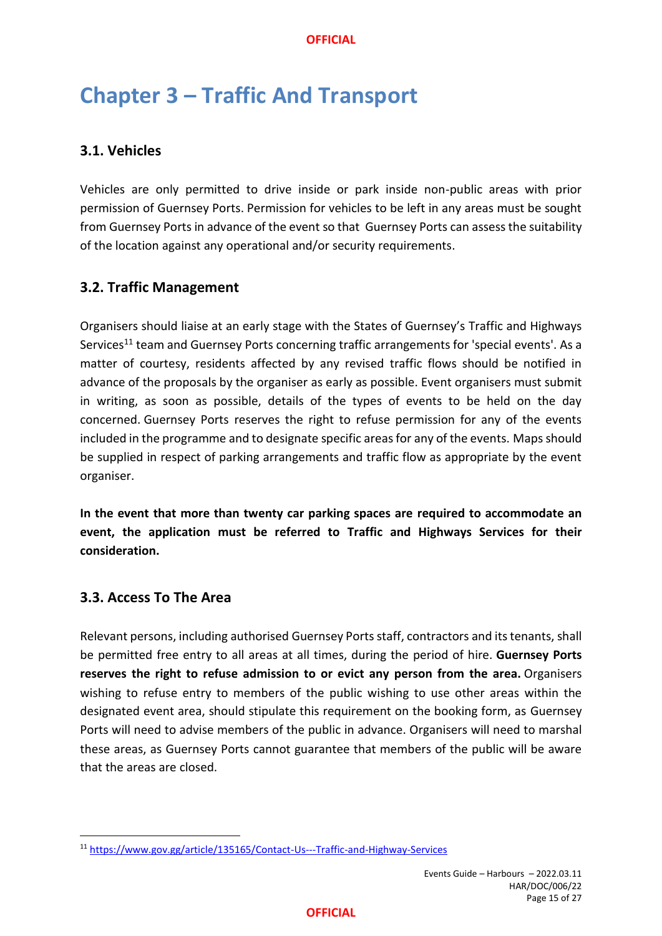## <span id="page-14-0"></span>**Chapter 3 – Traffic And Transport**

## <span id="page-14-1"></span>**3.1. Vehicles**

Vehicles are only permitted to drive inside or park inside non-public areas with prior permission of Guernsey Ports. Permission for vehicles to be left in any areas must be sought from Guernsey Ports in advance of the event so that Guernsey Ports can assess the suitability of the location against any operational and/or security requirements.

### <span id="page-14-2"></span>**3.2. Traffic Management**

Organisers should liaise at an early stage with the States of Guernsey's Traffic and Highways Services<sup>11</sup> team and Guernsey Ports concerning traffic arrangements for 'special events'. As a matter of courtesy, residents affected by any revised traffic flows should be notified in advance of the proposals by the organiser as early as possible. Event organisers must submit in writing, as soon as possible, details of the types of events to be held on the day concerned. Guernsey Ports reserves the right to refuse permission for any of the events included in the programme and to designate specific areas for any of the events. Maps should be supplied in respect of parking arrangements and traffic flow as appropriate by the event organiser.

**In the event that more than twenty car parking spaces are required to accommodate an event, the application must be referred to Traffic and Highways Services for their consideration.** 

### <span id="page-14-3"></span>**3.3. Access To The Area**

Relevant persons, including authorised Guernsey Portsstaff, contractors and its tenants, shall be permitted free entry to all areas at all times, during the period of hire. **Guernsey Ports reserves the right to refuse admission to or evict any person from the area.** Organisers wishing to refuse entry to members of the public wishing to use other areas within the designated event area, should stipulate this requirement on the booking form, as Guernsey Ports will need to advise members of the public in advance. Organisers will need to marshal these areas, as Guernsey Ports cannot guarantee that members of the public will be aware that the areas are closed.

<sup>11</sup> <https://www.gov.gg/article/135165/Contact-Us---Traffic-and-Highway-Services>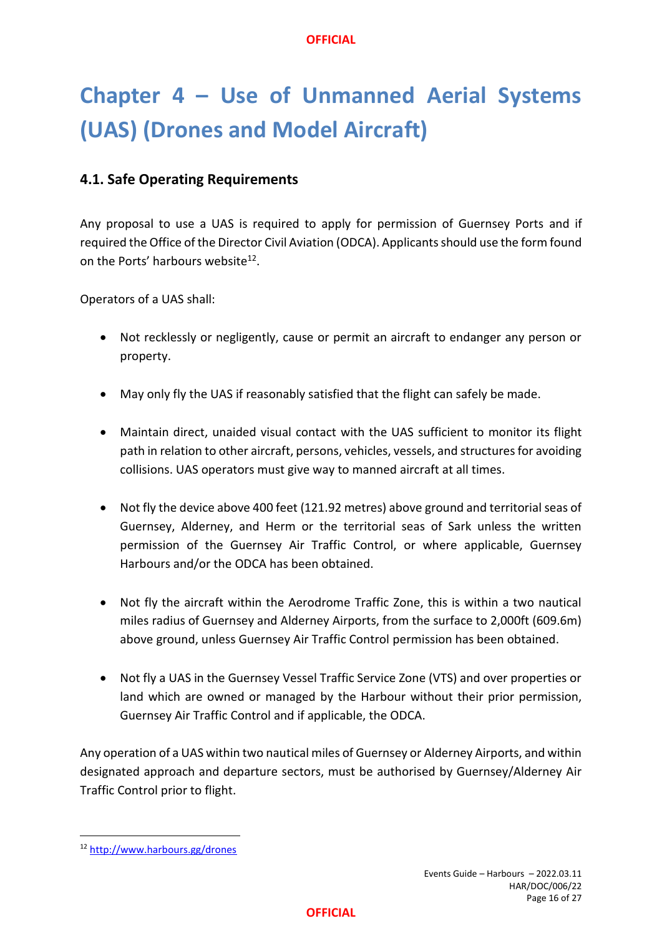# <span id="page-15-0"></span>**Chapter 4 – Use of Unmanned Aerial Systems (UAS) (Drones and Model Aircraft)**

## <span id="page-15-1"></span>**4.1. Safe Operating Requirements**

Any proposal to use a UAS is required to apply for permission of Guernsey Ports and if required the Office of the Director Civil Aviation (ODCA). Applicants should use the form found on the Ports' harbours website<sup>12</sup>.

Operators of a UAS shall:

- Not recklessly or negligently, cause or permit an aircraft to endanger any person or property.
- May only fly the UAS if reasonably satisfied that the flight can safely be made.
- Maintain direct, unaided visual contact with the UAS sufficient to monitor its flight path in relation to other aircraft, persons, vehicles, vessels, and structures for avoiding collisions. UAS operators must give way to manned aircraft at all times.
- Not fly the device above 400 feet (121.92 metres) above ground and territorial seas of Guernsey, Alderney, and Herm or the territorial seas of Sark unless the written permission of the Guernsey Air Traffic Control, or where applicable, Guernsey Harbours and/or the ODCA has been obtained.
- Not fly the aircraft within the Aerodrome Traffic Zone, this is within a two nautical miles radius of Guernsey and Alderney Airports, from the surface to 2,000ft (609.6m) above ground, unless Guernsey Air Traffic Control permission has been obtained.
- Not fly a UAS in the Guernsey Vessel Traffic Service Zone (VTS) and over properties or land which are owned or managed by the Harbour without their prior permission, Guernsey Air Traffic Control and if applicable, the ODCA.

Any operation of a UAS within two nautical miles of Guernsey or Alderney Airports, and within designated approach and departure sectors, must be authorised by Guernsey/Alderney Air Traffic Control prior to flight.

<sup>12</sup> <http://www.harbours.gg/drones>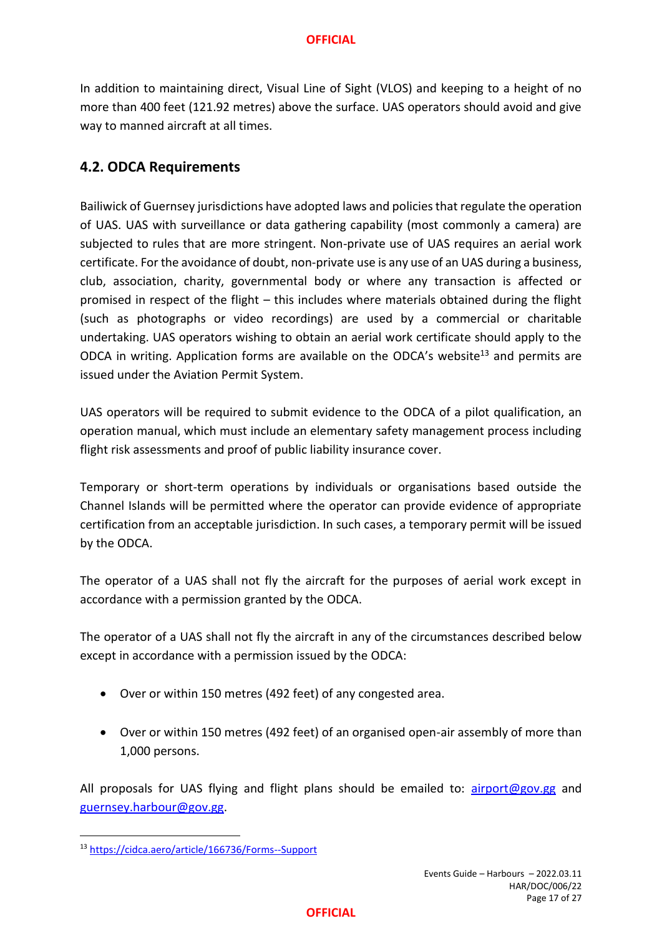In addition to maintaining direct, Visual Line of Sight (VLOS) and keeping to a height of no more than 400 feet (121.92 metres) above the surface. UAS operators should avoid and give way to manned aircraft at all times.

## <span id="page-16-0"></span>**4.2. ODCA Requirements**

Bailiwick of Guernsey jurisdictions have adopted laws and policies that regulate the operation of UAS. UAS with surveillance or data gathering capability (most commonly a camera) are subjected to rules that are more stringent. Non-private use of UAS requires an aerial work certificate. For the avoidance of doubt, non-private use is any use of an UAS during a business, club, association, charity, governmental body or where any transaction is affected or promised in respect of the flight – this includes where materials obtained during the flight (such as photographs or video recordings) are used by a commercial or charitable undertaking. UAS operators wishing to obtain an aerial work certificate should apply to the ODCA in writing. Application forms are available on the ODCA's website<sup>13</sup> and permits are issued under the Aviation Permit System.

UAS operators will be required to submit evidence to the ODCA of a pilot qualification, an operation manual, which must include an elementary safety management process including flight risk assessments and proof of public liability insurance cover.

Temporary or short-term operations by individuals or organisations based outside the Channel Islands will be permitted where the operator can provide evidence of appropriate certification from an acceptable jurisdiction. In such cases, a temporary permit will be issued by the ODCA.

The operator of a UAS shall not fly the aircraft for the purposes of aerial work except in accordance with a permission granted by the ODCA.

The operator of a UAS shall not fly the aircraft in any of the circumstances described below except in accordance with a permission issued by the ODCA:

- Over or within 150 metres (492 feet) of any congested area.
- Over or within 150 metres (492 feet) of an organised open-air assembly of more than 1,000 persons.

All proposals for UAS flying and flight plans should be emailed to:  $airport@gov.gg$  and [guernsey.harbour@gov.gg.](mailto:guernsey.harbour@gov.gg)

<sup>13</sup> <https://cidca.aero/article/166736/Forms--Support>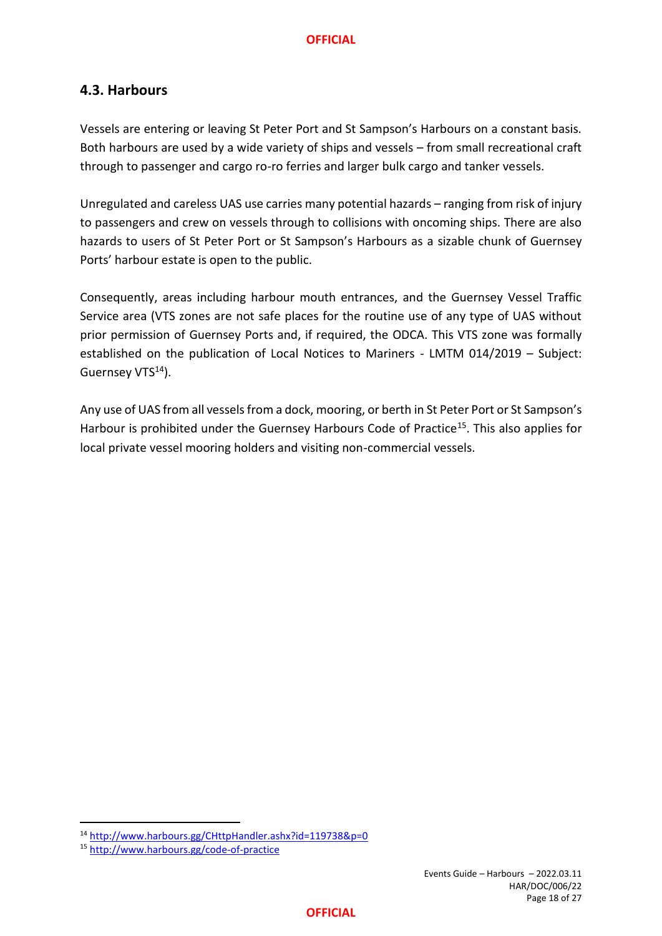## <span id="page-17-0"></span>**4.3. Harbours**

Vessels are entering or leaving St Peter Port and St Sampson's Harbours on a constant basis. Both harbours are used by a wide variety of ships and vessels – from small recreational craft through to passenger and cargo ro-ro ferries and larger bulk cargo and tanker vessels.

Unregulated and careless UAS use carries many potential hazards – ranging from risk of injury to passengers and crew on vessels through to collisions with oncoming ships. There are also hazards to users of St Peter Port or St Sampson's Harbours as a sizable chunk of Guernsey Ports' harbour estate is open to the public.

Consequently, areas including harbour mouth entrances, and the Guernsey Vessel Traffic Service area (VTS zones are not safe places for the routine use of any type of UAS without prior permission of Guernsey Ports and, if required, the ODCA. This VTS zone was formally established on the publication of Local Notices to Mariners - LMTM 014/2019 – Subject: Guernsey VTS<sup>14</sup>).

Any use of UAS from all vessels from a dock, mooring, or berth in St Peter Port or St Sampson's Harbour is prohibited under the Guernsey Harbours Code of Practice<sup>15</sup>. This also applies for local private vessel mooring holders and visiting non-commercial vessels.

<sup>14</sup> <http://www.harbours.gg/CHttpHandler.ashx?id=119738&p=0>

<sup>15</sup> <http://www.harbours.gg/code-of-practice>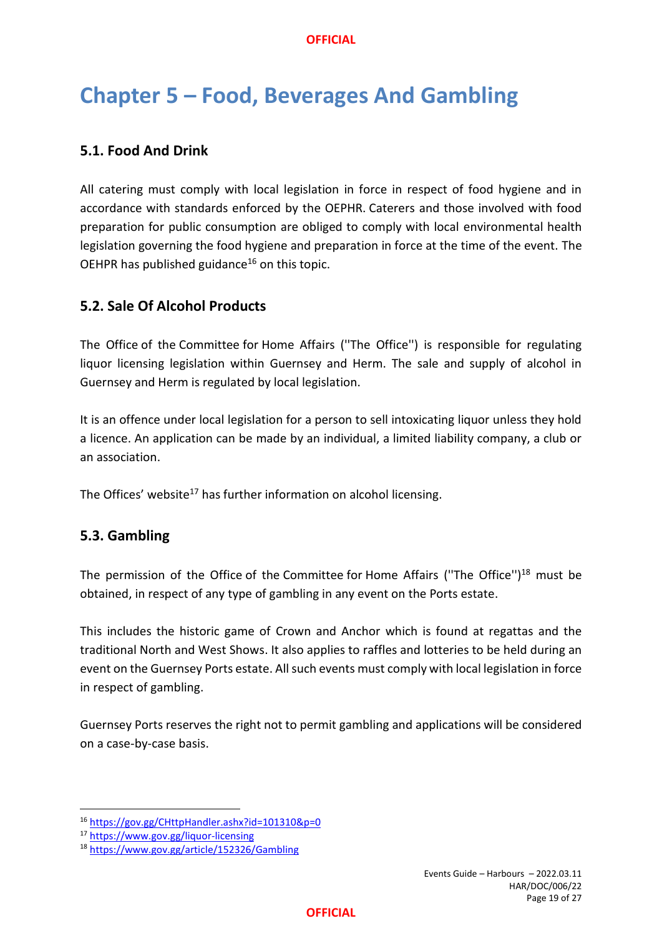## <span id="page-18-0"></span>**Chapter 5 – Food, Beverages And Gambling**

## <span id="page-18-1"></span>**5.1. Food And Drink**

All catering must comply with local legislation in force in respect of food hygiene and in accordance with standards enforced by the OEPHR. Caterers and those involved with food preparation for public consumption are obliged to comply with local environmental health legislation governing the food hygiene and preparation in force at the time of the event. The OEHPR has published guidance $16$  on this topic.

## <span id="page-18-2"></span>**5.2. Sale Of Alcohol Products**

The Office of the Committee for Home Affairs (''The Office'') is responsible for regulating liquor licensing legislation within Guernsey and Herm. The sale and supply of alcohol in Guernsey and Herm is regulated by local legislation.

It is an offence under local legislation for a person to sell intoxicating liquor unless they hold a licence. An application can be made by an individual, a limited liability company, a club or an association.

The Offices' website<sup>17</sup> has further information on alcohol licensing.

## <span id="page-18-3"></span>**5.3. Gambling**

The permission of the Office of the Committee for Home Affairs ("The Office")<sup>18</sup> must be obtained, in respect of any type of gambling in any event on the Ports estate.

This includes the historic game of Crown and Anchor which is found at regattas and the traditional North and West Shows. It also applies to raffles and lotteries to be held during an event on the Guernsey Ports estate. All such events must comply with local legislation in force in respect of gambling.

Guernsey Ports reserves the right not to permit gambling and applications will be considered on a case-by-case basis.

<sup>16</sup> <https://gov.gg/CHttpHandler.ashx?id=101310&p=0>

<sup>17</sup> <https://www.gov.gg/liquor-licensing>

<sup>18</sup> <https://www.gov.gg/article/152326/Gambling>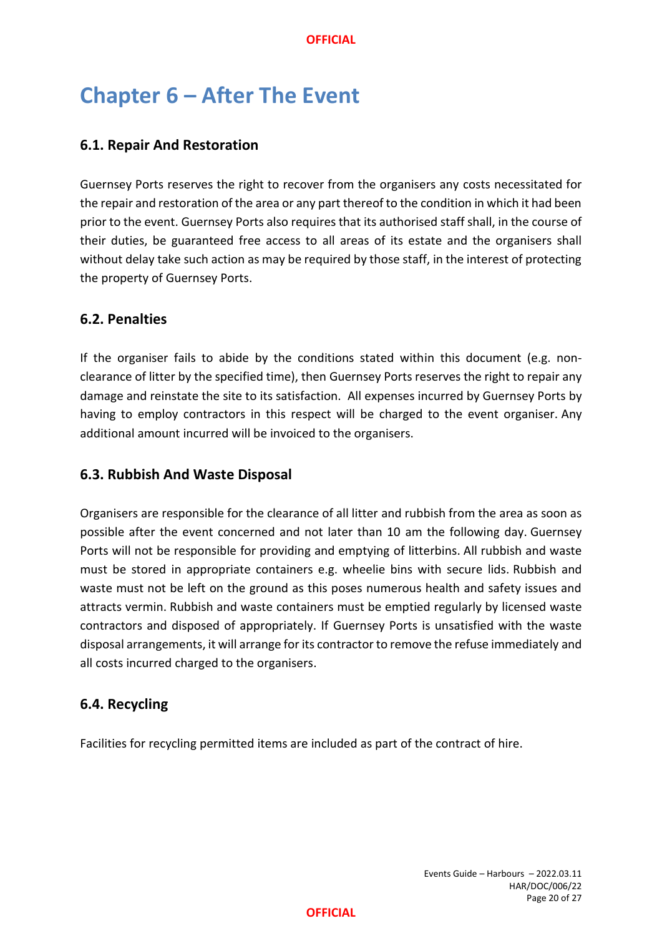## <span id="page-19-0"></span>**Chapter 6 – After The Event**

## <span id="page-19-1"></span>**6.1. Repair And Restoration**

Guernsey Ports reserves the right to recover from the organisers any costs necessitated for the repair and restoration of the area or any part thereof to the condition in which it had been prior to the event. Guernsey Ports also requires that its authorised staff shall, in the course of their duties, be guaranteed free access to all areas of its estate and the organisers shall without delay take such action as may be required by those staff, in the interest of protecting the property of Guernsey Ports.

### <span id="page-19-2"></span>**6.2. Penalties**

If the organiser fails to abide by the conditions stated within this document (e.g. nonclearance of litter by the specified time), then Guernsey Ports reserves the right to repair any damage and reinstate the site to its satisfaction. All expenses incurred by Guernsey Ports by having to employ contractors in this respect will be charged to the event organiser. Any additional amount incurred will be invoiced to the organisers.

### <span id="page-19-3"></span>**6.3. Rubbish And Waste Disposal**

Organisers are responsible for the clearance of all litter and rubbish from the area as soon as possible after the event concerned and not later than 10 am the following day. Guernsey Ports will not be responsible for providing and emptying of litterbins. All rubbish and waste must be stored in appropriate containers e.g. wheelie bins with secure lids. Rubbish and waste must not be left on the ground as this poses numerous health and safety issues and attracts vermin. Rubbish and waste containers must be emptied regularly by licensed waste contractors and disposed of appropriately. If Guernsey Ports is unsatisfied with the waste disposal arrangements, it will arrange for its contractor to remove the refuse immediately and all costs incurred charged to the organisers.

### <span id="page-19-4"></span>**6.4. Recycling**

Facilities for recycling permitted items are included as part of the contract of hire.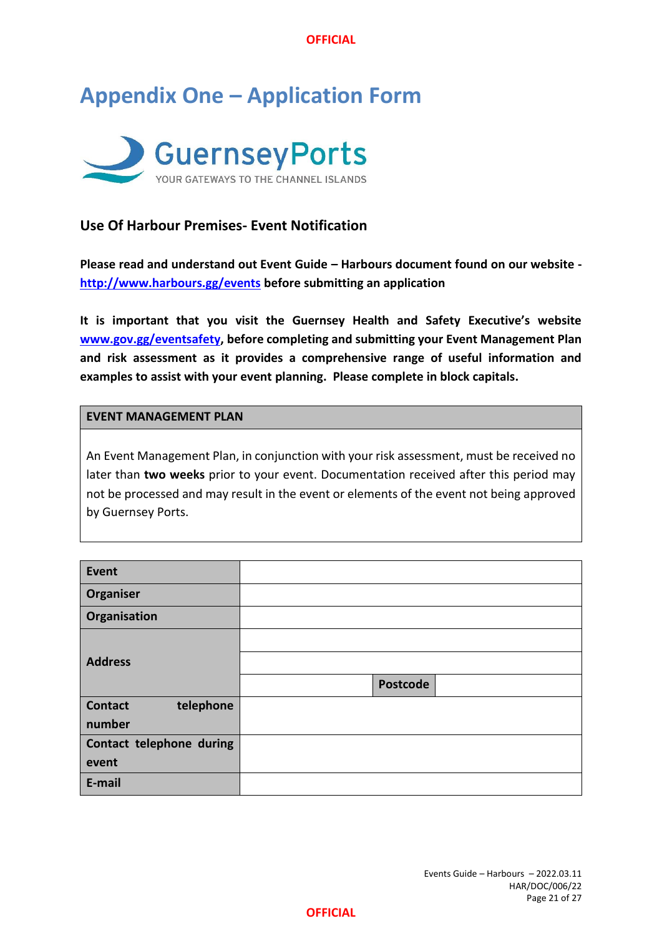## <span id="page-20-0"></span>**Appendix One – Application Form**



## **Use Of Harbour Premises- Event Notification**

**Please read and understand out Event Guide – Harbours document found on our website <http://www.harbours.gg/events> before submitting an application**

**It is important that you visit the Guernsey Health and Safety Executive's website [www.gov.gg/eventsafety,](http://www.gov.gg/eventsafety) before completing and submitting your Event Management Plan and risk assessment as it provides a comprehensive range of useful information and examples to assist with your event planning. Please complete in block capitals.** 

#### **EVENT MANAGEMENT PLAN**

An Event Management Plan, in conjunction with your risk assessment, must be received no later than **two weeks** prior to your event. Documentation received after this period may not be processed and may result in the event or elements of the event not being approved by Guernsey Ports.

| Event                       |                 |
|-----------------------------|-----------------|
| Organiser                   |                 |
| Organisation                |                 |
|                             |                 |
| <b>Address</b>              |                 |
|                             | <b>Postcode</b> |
| telephone<br><b>Contact</b> |                 |
| number                      |                 |
| Contact telephone during    |                 |
| event                       |                 |
| E-mail                      |                 |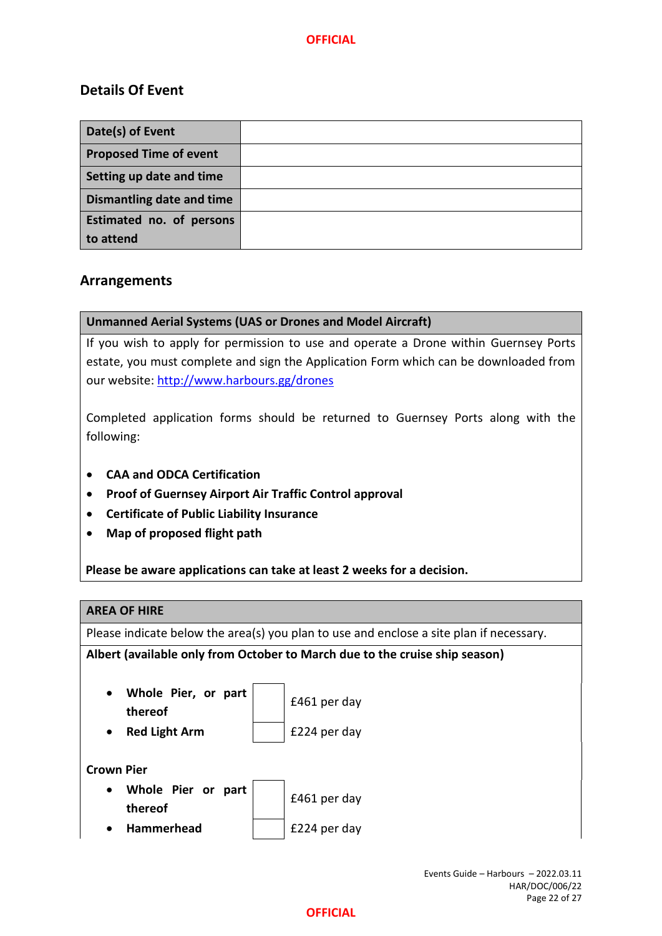### **Details Of Event**

| Date(s) of Event              |  |
|-------------------------------|--|
| <b>Proposed Time of event</b> |  |
| Setting up date and time      |  |
| Dismantling date and time     |  |
| Estimated no. of persons      |  |
| to attend                     |  |

### **Arrangements**

### **Unmanned Aerial Systems (UAS or Drones and Model Aircraft)**

If you wish to apply for permission to use and operate a Drone within Guernsey Ports estate, you must complete and sign the Application Form which can be downloaded from our website:<http://www.harbours.gg/drones>

Completed application forms should be returned to Guernsey Ports along with the following:

- **CAA and ODCA Certification**
- **Proof of Guernsey Airport Air Traffic Control approval**
- **Certificate of Public Liability Insurance**
- **Map of proposed flight path**

**P Please be aware applications can take at least 2 weeks for a decision.**

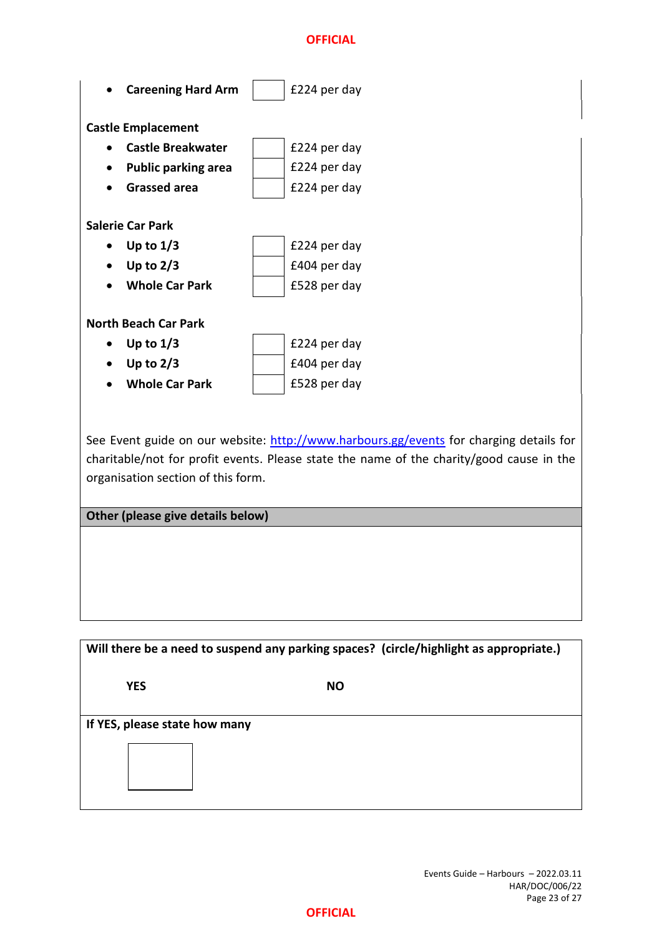

| Will there be a need to suspend any parking spaces? (circle/highlight as appropriate.) |           |  |
|----------------------------------------------------------------------------------------|-----------|--|
|                                                                                        |           |  |
| <b>YES</b>                                                                             | <b>NO</b> |  |
|                                                                                        |           |  |
| If YES, please state how many                                                          |           |  |
|                                                                                        |           |  |
|                                                                                        |           |  |
|                                                                                        |           |  |
|                                                                                        |           |  |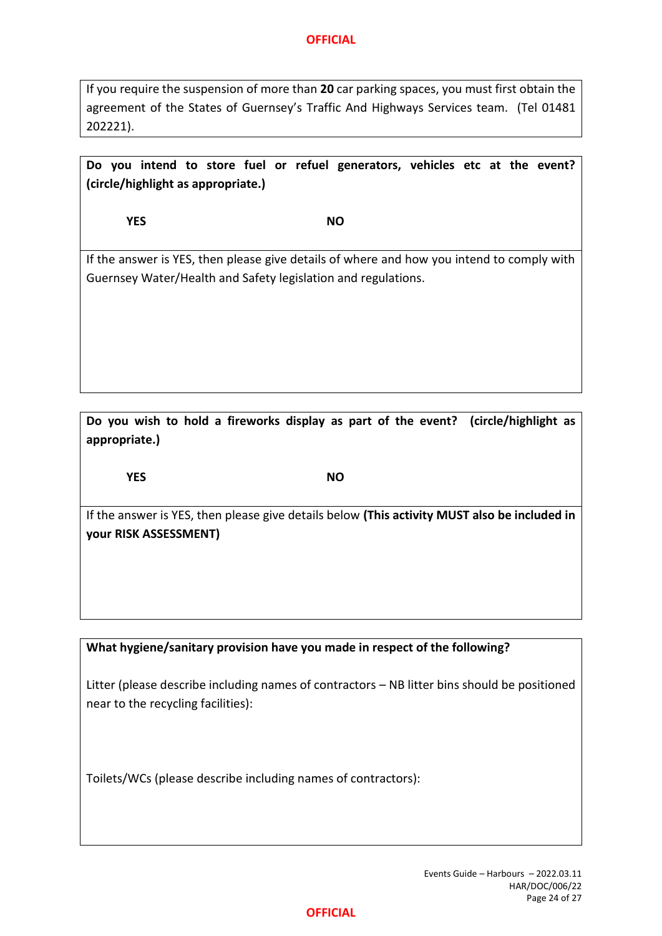If you require the suspension of more than **20** car parking spaces, you must first obtain the agreement of the States of Guernsey's Traffic And Highways Services team. (Tel 01481 202221).

**Do you intend to store fuel or refuel generators, vehicles etc at the event? (circle/highlight as appropriate.)**

**YES NO**

If the answer is YES, then please give details of where and how you intend to comply with Guernsey Water/Health and Safety legislation and regulations.

**Do you wish to hold a fireworks display as part of the event? (circle/highlight as appropriate.)**

**YES NO**

If the answer is YES, then please give details below **(This activity MUST also be included in your RISK ASSESSMENT)**

**What hygiene/sanitary provision have you made in respect of the following?**

Litter (please describe including names of contractors – NB litter bins should be positioned near to the recycling facilities):

Toilets/WCs (please describe including names of contractors):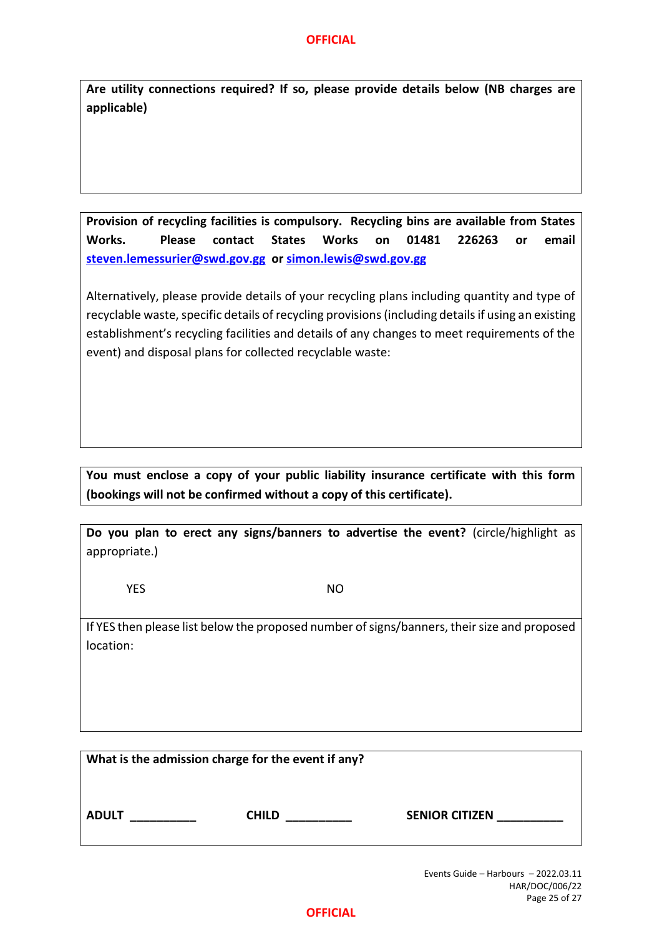**Are utility connections required? If so, please provide details below (NB charges are applicable)**

**Provision of recycling facilities is compulsory. Recycling bins are available from States Works. Please contact States Works on 01481 226263 or email [steven.lemessurier@swd.gov.gg](mailto:steven.lemessurier@swd.gov.gg) o[r simon.lewis@swd.gov.gg](mailto:simon.lewis@swd.gov.gg)**

Alternatively, please provide details of your recycling plans including quantity and type of recyclable waste, specific details of recycling provisions (including details if using an existing establishment's recycling facilities and details of any changes to meet requirements of the event) and disposal plans for collected recyclable waste:

**You must enclose a copy of your public liability insurance certificate with this form (bookings will not be confirmed without a copy of this certificate).**

**Do you plan to erect any signs/banners to advertise the event?** (circle/highlight as appropriate.)

**YES** NO

If YES then please list below the proposed number of signs/banners, their size and proposed location:

**ADULT \_\_\_\_\_\_\_\_\_\_ CHILD \_\_\_\_\_\_\_\_\_\_ SENIOR CITIZEN \_\_\_\_\_\_\_\_\_\_**

Events Guide – Harbours – 2022.03.11 HAR/DOC/006/22 Page 25 of 27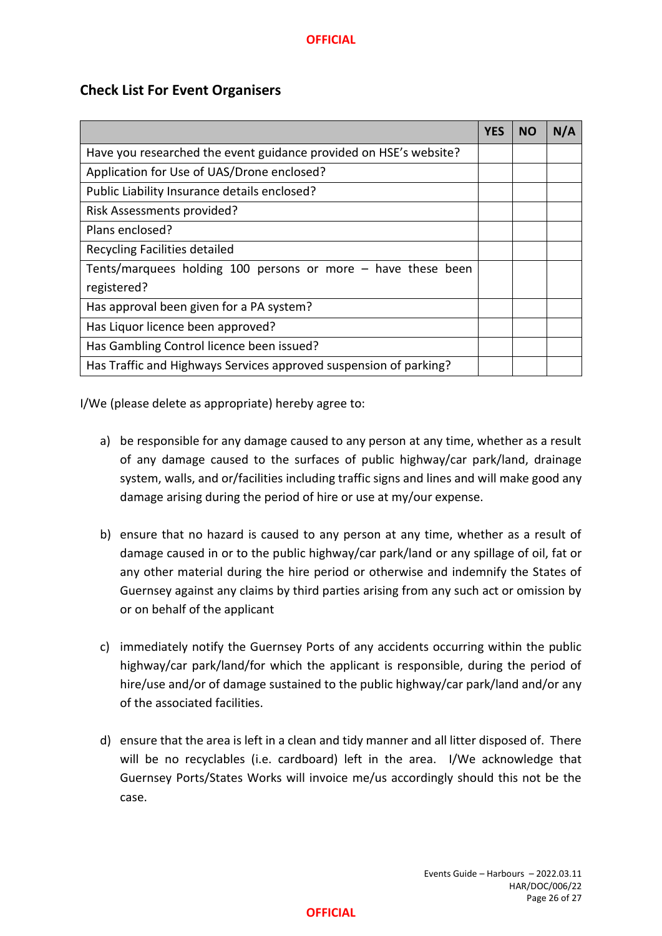### **Check List For Event Organisers**

|                                                                   | <b>YES</b> | NO | N/A |
|-------------------------------------------------------------------|------------|----|-----|
| Have you researched the event guidance provided on HSE's website? |            |    |     |
| Application for Use of UAS/Drone enclosed?                        |            |    |     |
| Public Liability Insurance details enclosed?                      |            |    |     |
| Risk Assessments provided?                                        |            |    |     |
| Plans enclosed?                                                   |            |    |     |
| Recycling Facilities detailed                                     |            |    |     |
| Tents/marquees holding 100 persons or more $-$ have these been    |            |    |     |
| registered?                                                       |            |    |     |
| Has approval been given for a PA system?                          |            |    |     |
| Has Liquor licence been approved?                                 |            |    |     |
| Has Gambling Control licence been issued?                         |            |    |     |
| Has Traffic and Highways Services approved suspension of parking? |            |    |     |

I/We (please delete as appropriate) hereby agree to:

- a) be responsible for any damage caused to any person at any time, whether as a result of any damage caused to the surfaces of public highway/car park/land, drainage system, walls, and or/facilities including traffic signs and lines and will make good any damage arising during the period of hire or use at my/our expense.
- b) ensure that no hazard is caused to any person at any time, whether as a result of damage caused in or to the public highway/car park/land or any spillage of oil, fat or any other material during the hire period or otherwise and indemnify the States of Guernsey against any claims by third parties arising from any such act or omission by or on behalf of the applicant
- c) immediately notify the Guernsey Ports of any accidents occurring within the public highway/car park/land/for which the applicant is responsible, during the period of hire/use and/or of damage sustained to the public highway/car park/land and/or any of the associated facilities.
- d) ensure that the area is left in a clean and tidy manner and all litter disposed of. There will be no recyclables (i.e. cardboard) left in the area. I/We acknowledge that Guernsey Ports/States Works will invoice me/us accordingly should this not be the case.